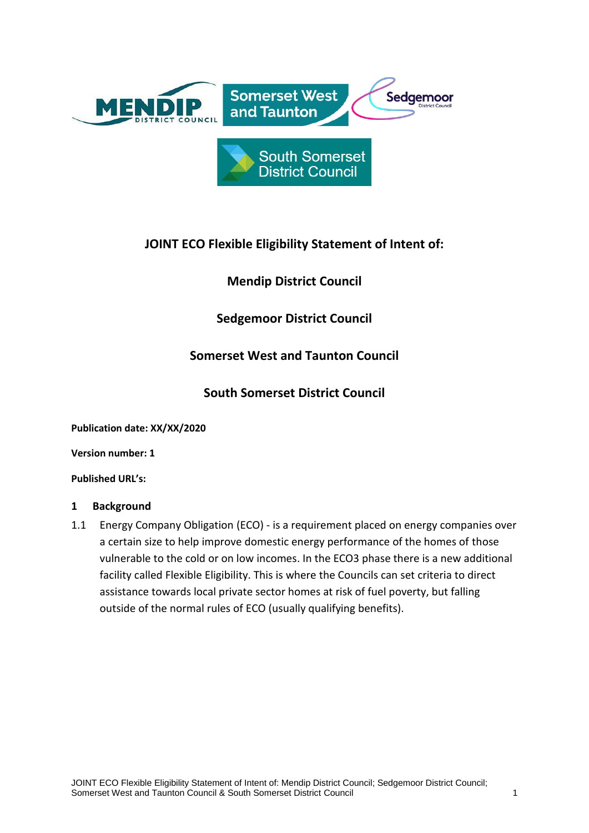

# **JOINT ECO Flexible Eligibility Statement of Intent of:**

**Mendip District Council**

**Sedgemoor District Council**

# **Somerset West and Taunton Council**

## **South Somerset District Council**

**Publication date: XX/XX/2020**

**Version number: 1**

**Published URL's:** 

### **1 Background**

1.1 Energy Company Obligation (ECO) - is a requirement placed on energy companies over a certain size to help improve domestic energy performance of the homes of those vulnerable to the cold or on low incomes. In the ECO3 phase there is a new additional facility called Flexible Eligibility. This is where the Councils can set criteria to direct assistance towards local private sector homes at risk of fuel poverty, but falling outside of the normal rules of ECO (usually qualifying benefits).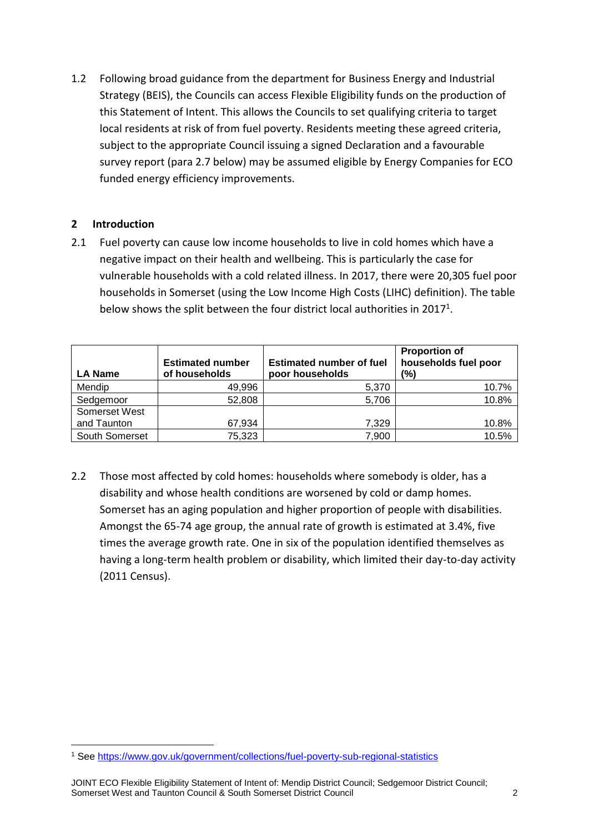1.2 Following broad guidance from the department for Business Energy and Industrial Strategy (BEIS), the Councils can access Flexible Eligibility funds on the production of this Statement of Intent. This allows the Councils to set qualifying criteria to target local residents at risk of from fuel poverty. Residents meeting these agreed criteria, subject to the appropriate Council issuing a signed Declaration and a favourable survey report (para 2.7 below) may be assumed eligible by Energy Companies for ECO funded energy efficiency improvements.

## **2 Introduction**

2.1 Fuel poverty can cause low income households to live in cold homes which have a negative impact on their health and wellbeing. This is particularly the case for vulnerable households with a cold related illness. In 2017, there were 20,305 fuel poor households in Somerset (using the Low Income High Costs (LIHC) definition). The table below shows the split between the four district local authorities in 2017<sup>1</sup>.

| <b>LA Name</b> | <b>Estimated number</b><br>of households | <b>Estimated number of fuel</b><br>poor households | <b>Proportion of</b><br>households fuel poor<br>(%) |
|----------------|------------------------------------------|----------------------------------------------------|-----------------------------------------------------|
| Mendip         | 49,996                                   | 5,370                                              | 10.7%                                               |
| Sedgemoor      | 52,808                                   | 5,706                                              | 10.8%                                               |
| Somerset West  |                                          |                                                    |                                                     |
| and Taunton    | 67,934                                   | 7,329                                              | 10.8%                                               |
| South Somerset | 75,323                                   | 7,900                                              | 10.5%                                               |

2.2 Those most affected by cold homes: households where somebody is older, has a disability and whose health conditions are worsened by cold or damp homes. Somerset has an aging population and higher proportion of people with disabilities. Amongst the 65-74 age group, the annual rate of growth is estimated at 3.4%, five times the average growth rate. One in six of the population identified themselves as having a long-term health problem or disability, which limited their day-to-day activity (2011 Census).

<sup>1</sup> <sup>1</sup> See<https://www.gov.uk/government/collections/fuel-poverty-sub-regional-statistics>

JOINT ECO Flexible Eligibility Statement of Intent of: Mendip District Council; Sedgemoor District Council; Somerset West and Taunton Council & South Somerset District Council 2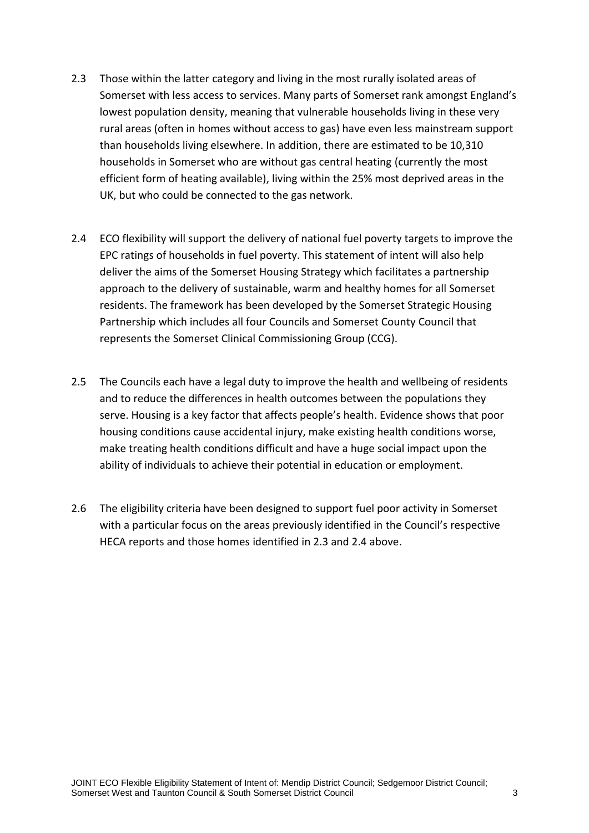- 2.3 Those within the latter category and living in the most rurally isolated areas of Somerset with less access to services. Many parts of Somerset rank amongst England's lowest population density, meaning that vulnerable households living in these very rural areas (often in homes without access to gas) have even less mainstream support than households living elsewhere. In addition, there are estimated to be 10,310 households in Somerset who are without gas central heating (currently the most efficient form of heating available), living within the 25% most deprived areas in the UK, but who could be connected to the gas network.
- 2.4 ECO flexibility will support the delivery of national fuel poverty targets to improve the EPC ratings of households in fuel poverty. This statement of intent will also help deliver the aims of the Somerset Housing Strategy which facilitates a partnership approach to the delivery of sustainable, warm and healthy homes for all Somerset residents. The framework has been developed by the Somerset Strategic Housing Partnership which includes all four Councils and Somerset County Council that represents the Somerset Clinical Commissioning Group (CCG).
- 2.5 The Councils each have a legal duty to improve the health and wellbeing of residents and to reduce the differences in health outcomes between the populations they serve. Housing is a key factor that affects people's health. Evidence shows that poor housing conditions cause accidental injury, make existing health conditions worse, make treating health conditions difficult and have a huge social impact upon the ability of individuals to achieve their potential in education or employment.
- 2.6 The eligibility criteria have been designed to support fuel poor activity in Somerset with a particular focus on the areas previously identified in the Council's respective HECA reports and those homes identified in 2.3 and 2.4 above.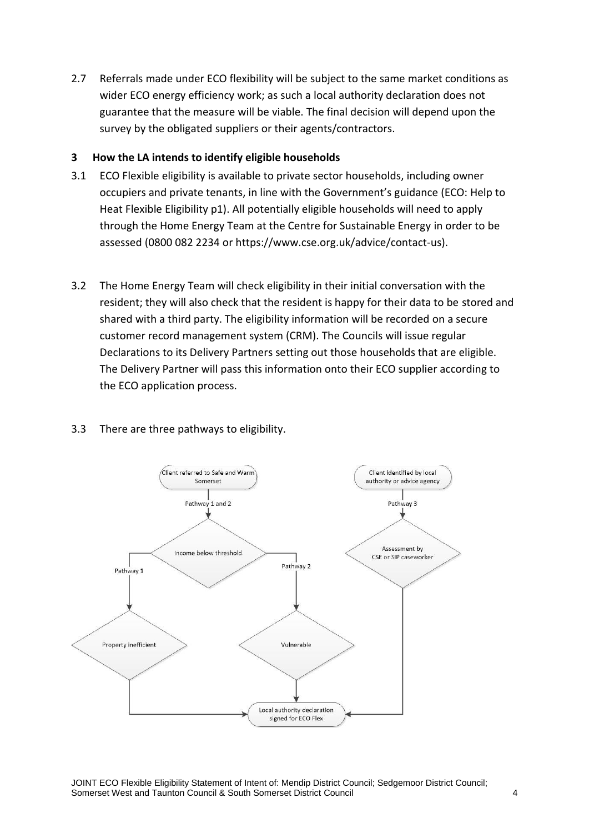2.7 Referrals made under ECO flexibility will be subject to the same market conditions as wider ECO energy efficiency work; as such a local authority declaration does not guarantee that the measure will be viable. The final decision will depend upon the survey by the obligated suppliers or their agents/contractors.

### **3 How the LA intends to identify eligible households**

- 3.1 ECO Flexible eligibility is available to private sector households, including owner occupiers and private tenants, in line with the Government's guidance (ECO: Help to Heat Flexible Eligibility p1). All potentially eligible households will need to apply through the Home Energy Team at the Centre for Sustainable Energy in order to be assessed (0800 082 2234 or [https://www.cse.org.uk/advice/contact-us\)](https://www.cse.org.uk/advice/contact-us).
- 3.2 The Home Energy Team will check eligibility in their initial conversation with the resident; they will also check that the resident is happy for their data to be stored and shared with a third party. The eligibility information will be recorded on a secure customer record management system (CRM). The Councils will issue regular Declarations to its Delivery Partners setting out those households that are eligible. The Delivery Partner will pass this information onto their ECO supplier according to the ECO application process.



### 3.3 There are three pathways to eligibility.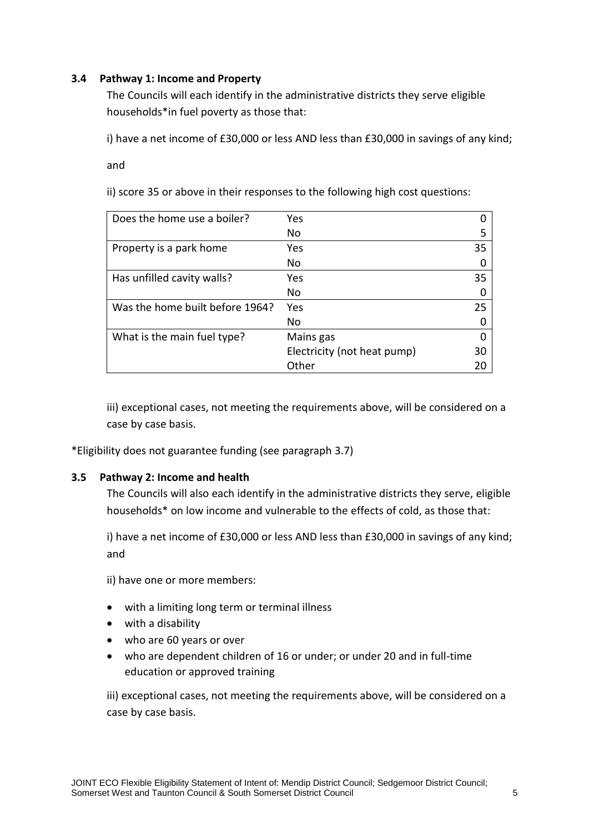### **3.4 Pathway 1: Income and Property**

The Councils will each identify in the administrative districts they serve eligible households\*in fuel poverty as those that:

i) have a net income of £30,000 or less AND less than £30,000 in savings of any kind;

and

ii) score 35 or above in their responses to the following high cost questions:

| Does the home use a boiler?     | Yes                         |    |
|---------------------------------|-----------------------------|----|
|                                 | No                          | 5  |
| Property is a park home         | Yes                         | 35 |
|                                 | No                          | 0  |
| Has unfilled cavity walls?      | Yes                         | 35 |
|                                 | No                          | 0  |
| Was the home built before 1964? | Yes                         | 25 |
|                                 | No                          |    |
| What is the main fuel type?     | Mains gas                   | ∩  |
|                                 | Electricity (not heat pump) | 30 |
|                                 | Other                       | 20 |

iii) exceptional cases, not meeting the requirements above, will be considered on a case by case basis.

\*Eligibility does not guarantee funding (see paragraph 3.7)

### **3.5 Pathway 2: Income and health**

The Councils will also each identify in the administrative districts they serve, eligible households\* on low income and vulnerable to the effects of cold, as those that:

i) have a net income of £30,000 or less AND less than £30,000 in savings of any kind; and

ii) have one or more members:

- with a limiting long term or terminal illness
- with a disability
- who are 60 years or over
- who are dependent children of 16 or under; or under 20 and in full-time education or approved training

iii) exceptional cases, not meeting the requirements above, will be considered on a case by case basis.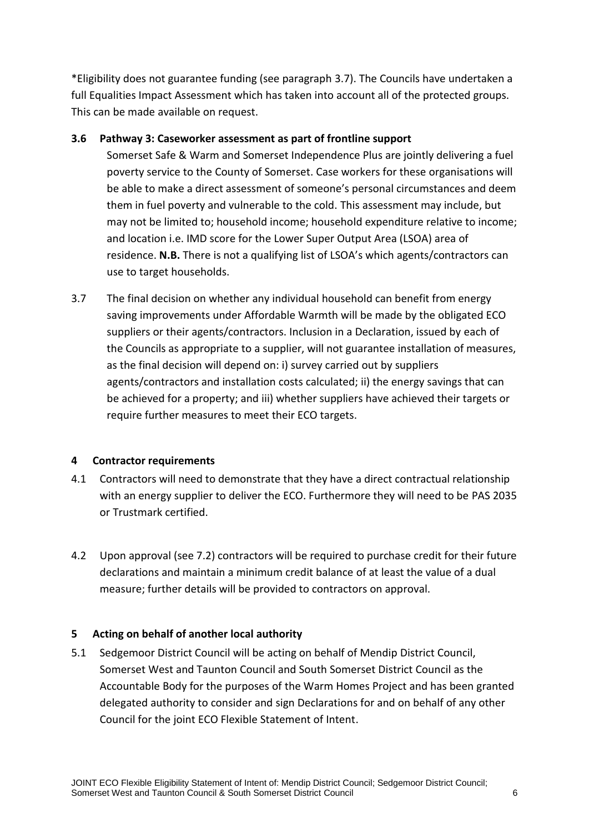\*Eligibility does not guarantee funding (see paragraph 3.7). The Councils have undertaken a full Equalities Impact Assessment which has taken into account all of the protected groups. This can be made available on request.

### **3.6 Pathway 3: Caseworker assessment as part of frontline support**

Somerset Safe & Warm and Somerset Independence Plus are jointly delivering a fuel poverty service to the County of Somerset. Case workers for these organisations will be able to make a direct assessment of someone's personal circumstances and deem them in fuel poverty and vulnerable to the cold. This assessment may include, but may not be limited to; household income; household expenditure relative to income; and location i.e. IMD score for the Lower Super Output Area (LSOA) area of residence. **N.B.** There is not a qualifying list of LSOA's which agents/contractors can use to target households.

3.7 The final decision on whether any individual household can benefit from energy saving improvements under Affordable Warmth will be made by the obligated ECO suppliers or their agents/contractors. Inclusion in a Declaration, issued by each of the Councils as appropriate to a supplier, will not guarantee installation of measures, as the final decision will depend on: i) survey carried out by suppliers agents/contractors and installation costs calculated; ii) the energy savings that can be achieved for a property; and iii) whether suppliers have achieved their targets or require further measures to meet their ECO targets.

## **4 Contractor requirements**

- 4.1 Contractors will need to demonstrate that they have a direct contractual relationship with an energy supplier to deliver the ECO. Furthermore they will need to be PAS 2035 or Trustmark certified.
- 4.2 Upon approval (see 7.2) contractors will be required to purchase credit for their future declarations and maintain a minimum credit balance of at least the value of a dual measure; further details will be provided to contractors on approval.

## **5 Acting on behalf of another local authority**

5.1 Sedgemoor District Council will be acting on behalf of Mendip District Council, Somerset West and Taunton Council and South Somerset District Council as the Accountable Body for the purposes of the Warm Homes Project and has been granted delegated authority to consider and sign Declarations for and on behalf of any other Council for the joint ECO Flexible Statement of Intent.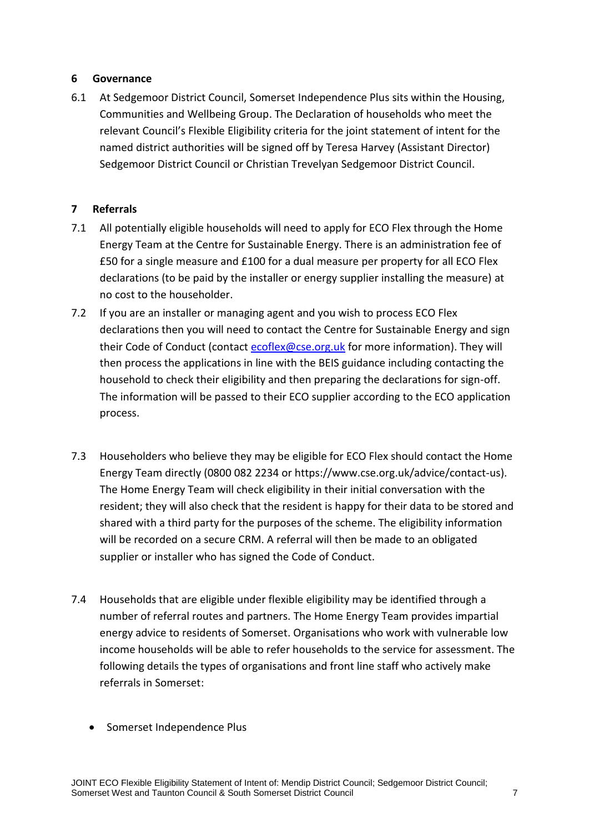### **6 Governance**

6.1 At Sedgemoor District Council, Somerset Independence Plus sits within the Housing, Communities and Wellbeing Group. The Declaration of households who meet the relevant Council's Flexible Eligibility criteria for the joint statement of intent for the named district authorities will be signed off by Teresa Harvey (Assistant Director) Sedgemoor District Council or Christian Trevelyan Sedgemoor District Council.

### **7 Referrals**

- 7.1 All potentially eligible households will need to apply for ECO Flex through the Home Energy Team at the Centre for Sustainable Energy. There is an administration fee of £50 for a single measure and £100 for a dual measure per property for all ECO Flex declarations (to be paid by the installer or energy supplier installing the measure) at no cost to the householder.
- 7.2 If you are an installer or managing agent and you wish to process ECO Flex declarations then you will need to contact the Centre for Sustainable Energy and sign their Code of Conduct (contact [ecoflex@cse.org.uk](mailto:ecoflex@cse.org.uk) for more information). They will then process the applications in line with the BEIS guidance including contacting the household to check their eligibility and then preparing the declarations for sign-off. The information will be passed to their ECO supplier according to the ECO application process.
- 7.3 Householders who believe they may be eligible for ECO Flex should contact the Home Energy Team directly (0800 082 2234 or [https://www.cse.org.uk/advice/contact-us\)](https://www.cse.org.uk/advice/contact-us). The Home Energy Team will check eligibility in their initial conversation with the resident; they will also check that the resident is happy for their data to be stored and shared with a third party for the purposes of the scheme. The eligibility information will be recorded on a secure CRM. A referral will then be made to an obligated supplier or installer who has signed the Code of Conduct.
- 7.4 Households that are eligible under flexible eligibility may be identified through a number of referral routes and partners. The Home Energy Team provides impartial energy advice to residents of Somerset. Organisations who work with vulnerable low income households will be able to refer households to the service for assessment. The following details the types of organisations and front line staff who actively make referrals in Somerset:
	- Somerset Independence Plus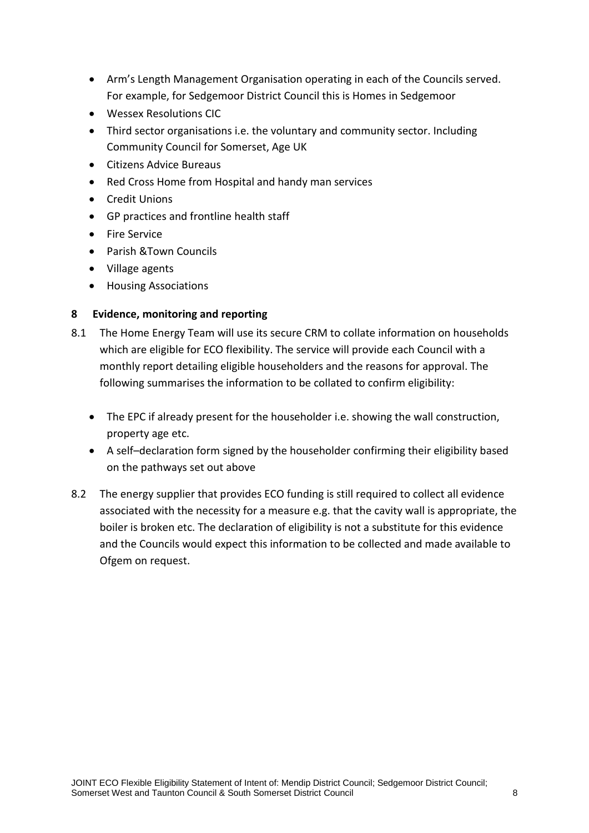- Arm's Length Management Organisation operating in each of the Councils served. For example, for Sedgemoor District Council this is Homes in Sedgemoor
- Wessex Resolutions CIC
- Third sector organisations i.e. the voluntary and community sector. Including Community Council for Somerset, Age UK
- Citizens Advice Bureaus
- Red Cross Home from Hospital and handy man services
- Credit Unions
- GP practices and frontline health staff
- **•** Fire Service
- Parish &Town Councils
- Village agents
- **•** Housing Associations

### **8 Evidence, monitoring and reporting**

- 8.1 The Home Energy Team will use its secure CRM to collate information on households which are eligible for ECO flexibility. The service will provide each Council with a monthly report detailing eligible householders and the reasons for approval. The following summarises the information to be collated to confirm eligibility:
	- The EPC if already present for the householder i.e. showing the wall construction, property age etc.
	- A self–declaration form signed by the householder confirming their eligibility based on the pathways set out above
- 8.2 The energy supplier that provides ECO funding is still required to collect all evidence associated with the necessity for a measure e.g. that the cavity wall is appropriate, the boiler is broken etc. The declaration of eligibility is not a substitute for this evidence and the Councils would expect this information to be collected and made available to Ofgem on request.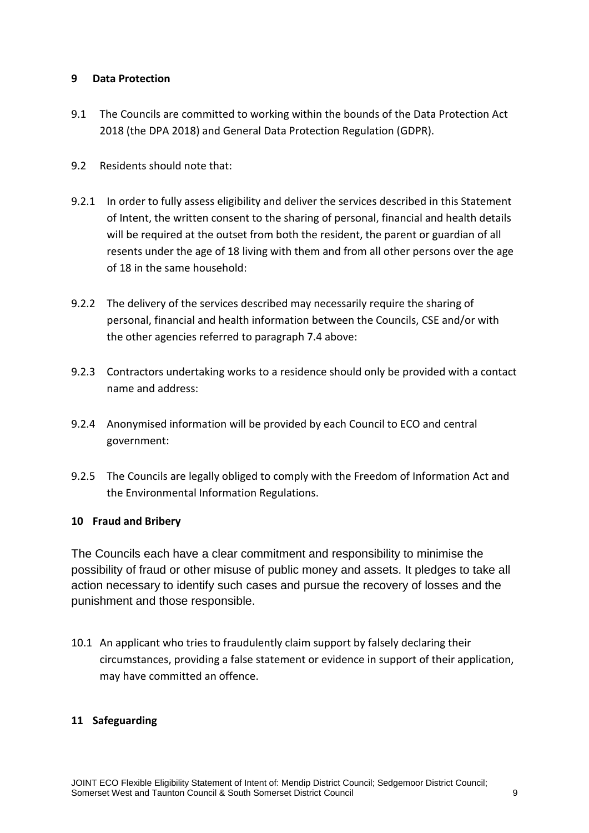### **9 Data Protection**

- 9.1 The Councils are committed to working within the bounds of the Data Protection Act 2018 (the DPA 2018) and General Data Protection Regulation (GDPR).
- 9.2 Residents should note that:
- 9.2.1 In order to fully assess eligibility and deliver the services described in this Statement of Intent, the written consent to the sharing of personal, financial and health details will be required at the outset from both the resident, the parent or guardian of all resents under the age of 18 living with them and from all other persons over the age of 18 in the same household:
- 9.2.2 The delivery of the services described may necessarily require the sharing of personal, financial and health information between the Councils, CSE and/or with the other agencies referred to paragraph 7.4 above:
- 9.2.3 Contractors undertaking works to a residence should only be provided with a contact name and address:
- 9.2.4 Anonymised information will be provided by each Council to ECO and central government:
- 9.2.5 The Councils are legally obliged to comply with the Freedom of Information Act and the Environmental Information Regulations.

### **10 Fraud and Bribery**

The Councils each have a clear commitment and responsibility to minimise the possibility of fraud or other misuse of public money and assets. It pledges to take all action necessary to identify such cases and pursue the recovery of losses and the punishment and those responsible.

10.1 An applicant who tries to fraudulently claim support by falsely declaring their circumstances, providing a false statement or evidence in support of their application, may have committed an offence.

### **11 Safeguarding**